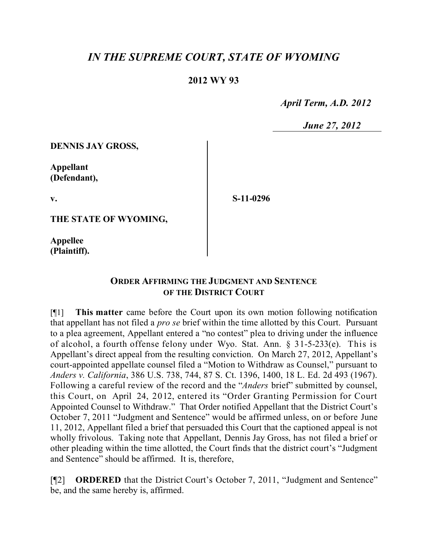## *IN THE SUPREME COURT, STATE OF WYOMING*

## **2012 WY 93**

 *April Term, A.D. 2012*

 *June 27, 2012*

**DENNIS JAY GROSS,**

**Appellant (Defendant),**

**v.**

**S-11-0296**

**THE STATE OF WYOMING,**

**Appellee (Plaintiff).**

## **ORDER AFFIRMING THE JUDGMENT AND SENTENCE OF THE DISTRICT COURT**

[¶1] **This matter** came before the Court upon its own motion following notification that appellant has not filed a *pro se* brief within the time allotted by this Court. Pursuant to a plea agreement, Appellant entered a "no contest" plea to driving under the influence of alcohol, a fourth offense felony under Wyo. Stat. Ann. § 31-5-233(e). This is Appellant's direct appeal from the resulting conviction. On March 27, 2012, Appellant's court-appointed appellate counsel filed a "Motion to Withdraw as Counsel," pursuant to *Anders v. California*, 386 U.S. 738, 744, 87 S. Ct. 1396, 1400, 18 L. Ed. 2d 493 (1967). Following a careful review of the record and the "*Anders* brief" submitted by counsel, this Court, on April 24, 2012, entered its "Order Granting Permission for Court Appointed Counsel to Withdraw." That Order notified Appellant that the District Court's October 7, 2011 "Judgment and Sentence" would be affirmed unless, on or before June 11, 2012, Appellant filed a brief that persuaded this Court that the captioned appeal is not wholly frivolous. Taking note that Appellant, Dennis Jay Gross, has not filed a brief or other pleading within the time allotted, the Court finds that the district court's "Judgment and Sentence" should be affirmed. It is, therefore,

[¶2] **ORDERED** that the District Court's October 7, 2011, "Judgment and Sentence" be, and the same hereby is, affirmed.